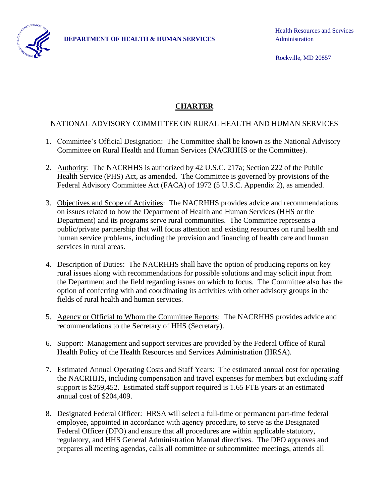

Rockville, MD 20857

## **CHARTER**

## NATIONAL ADVISORY COMMITTEE ON RURAL HEALTH AND HUMAN SERVICES

- 1. Committee's Official Designation: The Committee shall be known as the National Advisory Committee on Rural Health and Human Services (NACRHHS or the Committee).
- 2. Authority: The NACRHHS is authorized by 42 U.S.C. 217a; Section 222 of the Public Health Service (PHS) Act, as amended. The Committee is governed by provisions of the Federal Advisory Committee Act (FACA) of 1972 (5 U.S.C. Appendix 2), as amended.
- 3. Objectives and Scope of Activities: The NACRHHS provides advice and recommendations on issues related to how the Department of Health and Human Services (HHS or the Department) and its programs serve rural communities. The Committee represents a public/private partnership that will focus attention and existing resources on rural health and human service problems, including the provision and financing of health care and human services in rural areas.
- 4. Description of Duties: The NACRHHS shall have the option of producing reports on key rural issues along with recommendations for possible solutions and may solicit input from the Department and the field regarding issues on which to focus. The Committee also has the option of conferring with and coordinating its activities with other advisory groups in the fields of rural health and human services.
- 5. Agency or Official to Whom the Committee Reports: The NACRHHS provides advice and recommendations to the Secretary of HHS (Secretary).
- 6. Support: Management and support services are provided by the Federal Office of Rural Health Policy of the Health Resources and Services Administration (HRSA).
- 7. Estimated Annual Operating Costs and Staff Years: The estimated annual cost for operating the NACRHHS, including compensation and travel expenses for members but excluding staff support is \$259,452. Estimated staff support required is 1.65 FTE years at an estimated annual cost of \$204,409.
- 8. Designated Federal Officer: HRSA will select a full-time or permanent part-time federal employee, appointed in accordance with agency procedure, to serve as the Designated Federal Officer (DFO) and ensure that all procedures are within applicable statutory, regulatory, and HHS General Administration Manual directives. The DFO approves and prepares all meeting agendas, calls all committee or subcommittee meetings, attends all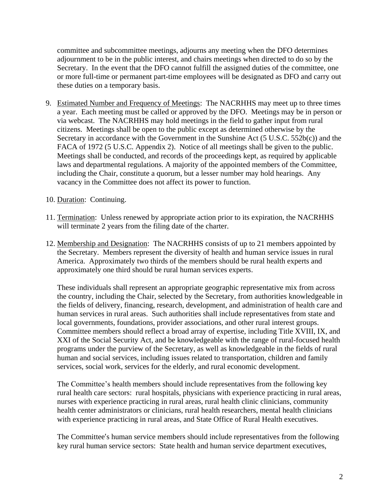committee and subcommittee meetings, adjourns any meeting when the DFO determines adjournment to be in the public interest, and chairs meetings when directed to do so by the Secretary. In the event that the DFO cannot fulfill the assigned duties of the committee, one or more full-time or permanent part-time employees will be designated as DFO and carry out these duties on a temporary basis.

- 9. Estimated Number and Frequency of Meetings: The NACRHHS may meet up to three times a year. Each meeting must be called or approved by the DFO. Meetings may be in person or via webcast. The NACRHHS may hold meetings in the field to gather input from rural citizens. Meetings shall be open to the public except as determined otherwise by the Secretary in accordance with the Government in the Sunshine Act (5 U.S.C. 552b(c)) and the FACA of 1972 (5 U.S.C. Appendix 2). Notice of all meetings shall be given to the public. Meetings shall be conducted, and records of the proceedings kept, as required by applicable laws and departmental regulations. A majority of the appointed members of the Committee, including the Chair, constitute a quorum, but a lesser number may hold hearings. Any vacancy in the Committee does not affect its power to function.
- 10. Duration: Continuing.
- 11. Termination: Unless renewed by appropriate action prior to its expiration, the NACRHHS will terminate 2 years from the filing date of the charter.
- 12. Membership and Designation: The NACRHHS consists of up to 21 members appointed by the Secretary. Members represent the diversity of health and human service issues in rural America. Approximately two thirds of the members should be rural health experts and approximately one third should be rural human services experts.

These individuals shall represent an appropriate geographic representative mix from across the country, including the Chair, selected by the Secretary, from authorities knowledgeable in the fields of delivery, financing, research, development, and administration of health care and human services in rural areas. Such authorities shall include representatives from state and local governments, foundations, provider associations, and other rural interest groups. Committee members should reflect a broad array of expertise, including Title XVIII, IX, and XXI of the Social Security Act, and be knowledgeable with the range of rural-focused health programs under the purview of the Secretary, as well as knowledgeable in the fields of rural human and social services, including issues related to transportation, children and family services, social work, services for the elderly, and rural economic development.

The Committee's health members should include representatives from the following key rural health care sectors: rural hospitals, physicians with experience practicing in rural areas, nurses with experience practicing in rural areas, rural health clinic clinicians, community health center administrators or clinicians, rural health researchers, mental health clinicians with experience practicing in rural areas, and State Office of Rural Health executives.

The Committee's human service members should include representatives from the following key rural human service sectors: State health and human service department executives,